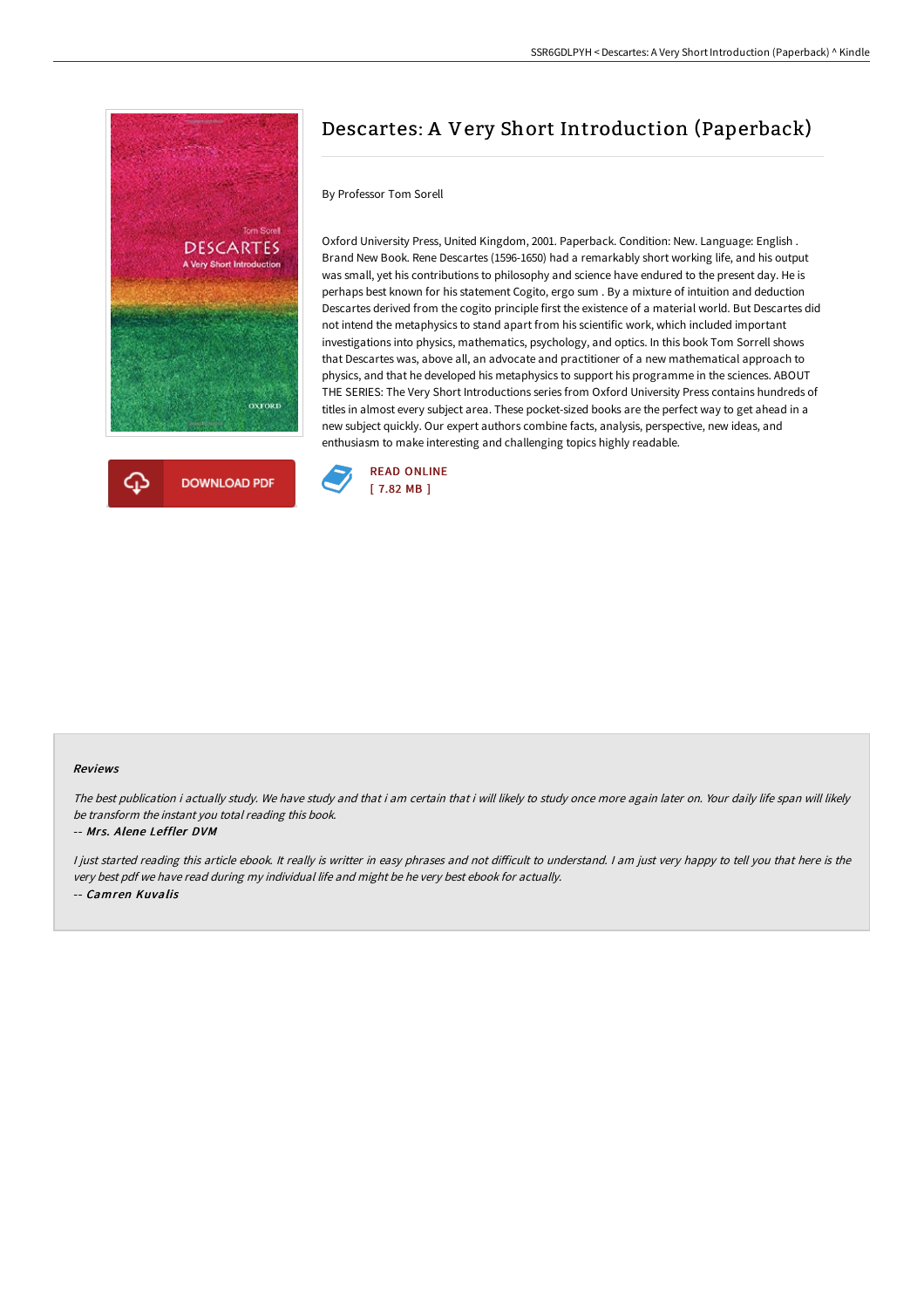



# Descartes: A Very Short Introduction (Paperback)

#### By Professor Tom Sorell

Oxford University Press, United Kingdom, 2001. Paperback. Condition: New. Language: English . Brand New Book. Rene Descartes (1596-1650) had a remarkably short working life, and his output was small, yet his contributions to philosophy and science have endured to the present day. He is perhaps best known for his statement Cogito, ergo sum . By a mixture of intuition and deduction Descartes derived from the cogito principle first the existence of a material world. But Descartes did not intend the metaphysics to stand apart from his scientific work, which included important investigations into physics, mathematics, psychology, and optics. In this book Tom Sorrell shows that Descartes was, above all, an advocate and practitioner of a new mathematical approach to physics, and that he developed his metaphysics to support his programme in the sciences. ABOUT THE SERIES: The Very Short Introductions series from Oxford University Press contains hundreds of titles in almost every subject area. These pocket-sized books are the perfect way to get ahead in a new subject quickly. Our expert authors combine facts, analysis, perspective, new ideas, and enthusiasm to make interesting and challenging topics highly readable.



#### Reviews

The best publication i actually study. We have study and that i am certain that i will likely to study once more again later on. Your daily life span will likely be transform the instant you total reading this book.

#### -- Mrs. Alene Leffler DVM

I just started reading this article ebook. It really is writter in easy phrases and not difficult to understand. I am just very happy to tell you that here is the very best pdf we have read during my individual life and might be he very best ebook for actually. -- Camren Kuvalis